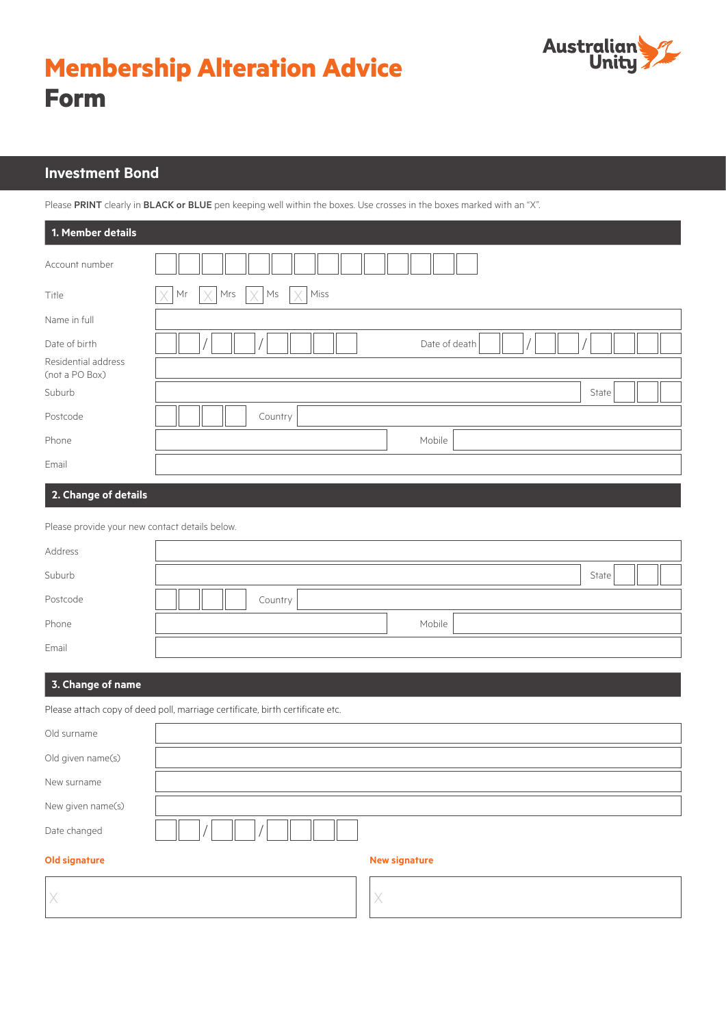



# **Investment Bond**

Please PRINT clearly in BLACK or BLUE pen keeping well within the boxes. Use crosses in the boxes marked with an "X".

| 1. Member details                     |                                   |
|---------------------------------------|-----------------------------------|
| Account number                        |                                   |
| Title                                 | Miss<br>X<br>Ms<br>X<br>Mr<br>Mrs |
| Name in full                          |                                   |
| Date of birth                         | Date of death                     |
| Residential address<br>(not a PO Box) |                                   |
| Suburb                                | State                             |
| Postcode                              | Country                           |
| Phone                                 | Mobile                            |
| Email                                 |                                   |
| 2. Change of details                  |                                   |

| Please provide your new contact details below. |         |
|------------------------------------------------|---------|
| Address                                        |         |
| Suburb                                         | State   |
| Postcode                                       | Country |
| Phone                                          | Mobile  |
| Email                                          |         |

# **3. Change of name**

Please attach copy of deed poll, marriage certificate, birth certificate etc.

| Old surname          |                      |
|----------------------|----------------------|
| Old given name(s)    |                      |
| New surname          |                      |
| New given name(s)    |                      |
| Date changed         |                      |
| <b>Old signature</b> | <b>New signature</b> |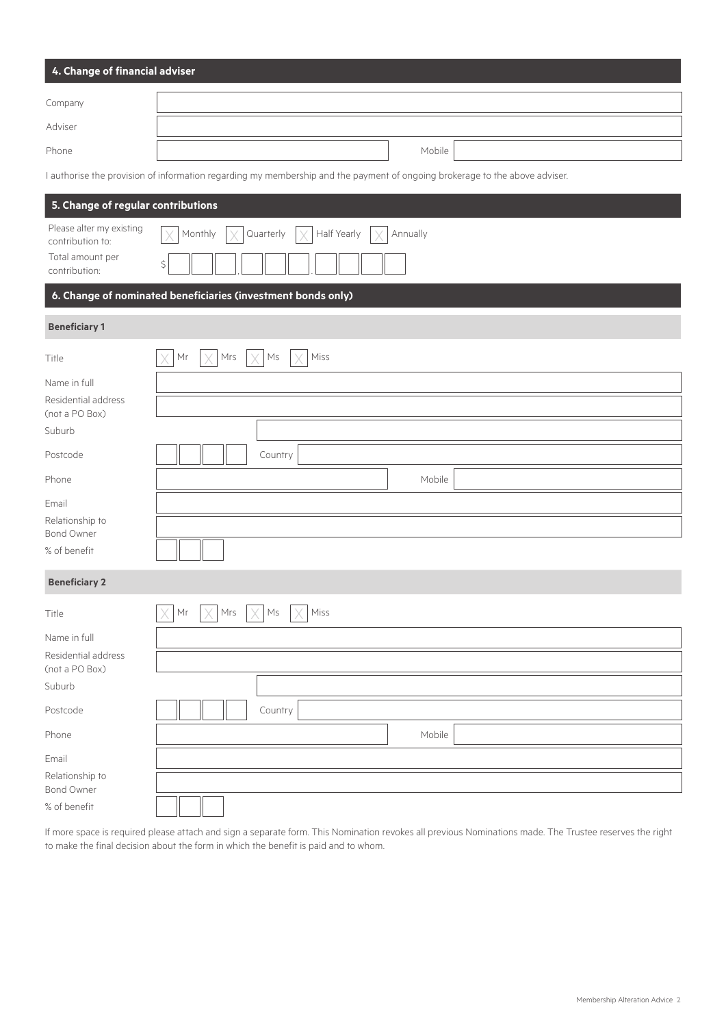| 4. Change of financial adviser |        |  |  |  |  |
|--------------------------------|--------|--|--|--|--|
| Company                        |        |  |  |  |  |
| Adviser                        |        |  |  |  |  |
| Phone                          | Mobile |  |  |  |  |

I authorise the provision of information regarding my membership and the payment of ongoing brokerage to the above adviser.

| 5. Change of regular contributions                               |                                                                        |
|------------------------------------------------------------------|------------------------------------------------------------------------|
| Please alter my existing<br>contribution to:<br>Total amount per | Half Yearly<br>Monthly<br>Quarterly<br>Annually                        |
| contribution:                                                    | \$                                                                     |
|                                                                  | 6. Change of nominated beneficiaries (investment bonds only)           |
| <b>Beneficiary 1</b>                                             |                                                                        |
| Title                                                            | Miss<br>Mrs<br>$\mathsf{M}\mathsf{s}$<br>Mr                            |
| Name in full                                                     |                                                                        |
| Residential address<br>(not a PO Box)                            |                                                                        |
| Suburb                                                           |                                                                        |
| Postcode                                                         | Country                                                                |
| Phone                                                            | Mobile                                                                 |
| Email                                                            |                                                                        |
| Relationship to<br><b>Bond Owner</b>                             |                                                                        |
| % of benefit                                                     |                                                                        |
| <b>Beneficiary 2</b>                                             |                                                                        |
| Title                                                            | $\ensuremath{\mathsf{M}}\xspace$ rs<br>Mr<br>Ms<br>Miss<br>V<br>X<br>V |
| Name in full                                                     |                                                                        |
| Residential address<br>(not a PO Box)                            |                                                                        |
| Suburb                                                           |                                                                        |
| Postcode                                                         | Country                                                                |
| Phone                                                            | Mobile                                                                 |
| Email                                                            |                                                                        |
| Relationship to<br>Bond Owner                                    |                                                                        |
| % of benefit                                                     |                                                                        |

If more space is required please attach and sign a separate form. This Nomination revokes all previous Nominations made. The Trustee reserves the right to make the final decision about the form in which the benefit is paid and to whom.